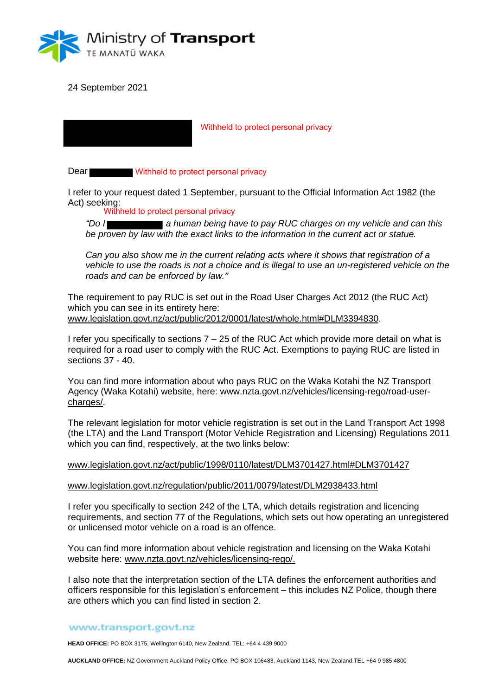

24 September 2021

Withheld to protect personal privacy

Dear Withheld to protect personal privacy

I refer to your request dated 1 September, pursuant to the Official Information Act 1982 (the Act) seeking:

Withheld to protect personal privacy

*"Do I a human being have to pay RUC charges on my vehicle and can this be proven by law with the exact links to the information in the current act or statue.*

*Can you also show me in the current relating acts where it shows that registration of a vehicle to use the roads is not a choice and is illegal to use an un-registered vehicle on the roads and can be enforced by law."*

The requirement to pay RUC is set out in the Road User Charges Act 2012 (the RUC Act) which you can see in its entirety here: www.legislation.govt.nz/act/public/2012/0001/latest/whole.html#DLM3394830.

I refer you specifically to sections  $7 - 25$  of the RUC Act which provide more detail on what is required for a road user to comply with the RUC Act. Exemptions to paying RUC are listed in sections 37 - 40.

You can find more information about who pays RUC on the Waka Kotahi the NZ Transport Agency (Waka Kotahi) website, here: www.nzta.govt.nz/vehicles/licensing-rego/road-usercharges/.

The relevant legislation for motor vehicle registration is set out in the Land Transport Act 1998 (the LTA) and the Land Transport (Motor Vehicle Registration and Licensing) Regulations 2011 which you can find, respectively, at the two links below:

| www.legislation.govt.nz/act/public/1998/0110/latest/DLM3701427.html#DLM3701427 |  |
|--------------------------------------------------------------------------------|--|
|--------------------------------------------------------------------------------|--|

www.legislation.govt.nz/regulation/public/2011/0079/latest/DLM2938433.html

I refer you specifically to section 242 of the LTA, which details registration and licencing requirements, and section 77 of the Regulations, which sets out how operating an unregistered or unlicensed motor vehicle on a road is an offence.

You can find more information about vehicle registration and licensing on the Waka Kotahi website here: www.nzta.govt.nz/vehicles/licensing-rego/.

I also note that the interpretation section of the LTA defines the enforcement authorities and officers responsible for this legislation's enforcement – this includes NZ Police, though there are others which you can find listed in section 2.

## www.transport.govt.nz

**HEAD OFFICE:** PO BOX 3175, Wellington 6140, New Zealand. TEL: +64 4 439 9000